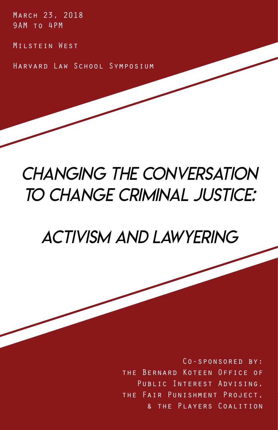March 23, 2018 9AM to 4PM

Milstein West

Harvard Law School Symposium

# *Changing the Conversation to change criminal Justice:*

*Activism and lawyering*

Co-sponsored by: the Bernard Koteen Office of PUBLIC INTEREST ADVISING, the Fair Punishment Project, & the Players Coalition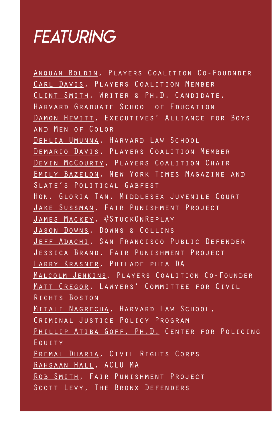# *FEATURING*

Anquan Boldin, Players Coalition Co-Foudnder Carl Davis, Players Coalition Member Clint Smith, Writer & Ph.D. Candidate, Harvard Graduate School of Education Damon Hewitt, Executives' Alliance for Boys and Men of Color Dehlia Umunna, Harvard Law School Demario Davis, Players Coalition Member Devin McCourty, Players Coalition Chair Emily Bazelon, New York Times Magazine and Slate's Political Gabfest HON. GLORIA TAN, MIDDLESEX JUVENILE COURT Jake Sussman, Fair Punishment Project James Mackey, #StuckOnReplay JASON DOWNS, DOWNS & COLLINS Jeff Adachi, San Francisco Public Defender Jessica Brand, Fair Punishment Project Larry Krasner, Philadelphia DA Malcolm Jenkins, Players Coalition Co-Founder MATT CREGOR, LAWYERS' COMMITTEE FOR CIVIL Rights Boston Mitali Nagrecha, Harvard Law School, Criminal Justice Policy Program Phillip Atiba Goff, Ph.D. Center for Policing Equity PREMAL DHARIA, CIVIL RIGHTS CORPS Rahsaan Hall, ACLU MA Rob Smith, Fair Punishment Project SCOTT LEVY, THE BRONX DEFENDERS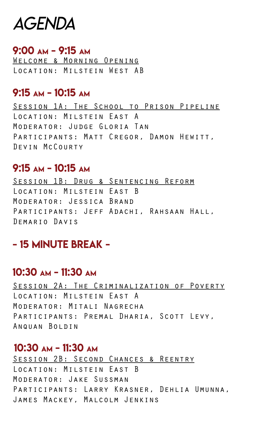# *AGENDA*

### 9:00 am - 9:15 am

Welcome & Morning Opening Location: Milstein West AB

## 9:15 am - 10:15 am

Session 1A: The School to Prison Pipeline Location: Milstein East A Moderator: Judge Gloria Tan PARTICIPANTS: MATT CREGOR, DAMON HEWITT, Devin McCourty

## 9:15 am - 10:15 am

Session 1B: Drug & Sentencing Reform Location: Milstein East B Moderator: Jessica Brand PARTICIPANTS: JEFF ADACHI, RAHSAAN HALL, Demario Davis

# - 15 minute break -

## 10:30 am - 11:30 am

Session 2A: The Criminalization of Poverty Location: Milstein East A Moderator: Mitali Nagrecha PARTICIPANTS: PREMAL DHARIA, SCOTT LEVY, ANQUAN BOLDIN

## 10:30 am - 11:30 am

SESSION 2B: SECOND CHANCES & REENTRY Location: Milstein East B Moderator: Jake Sussman Participants: Larry Krasner, Dehlia Umunna, James Mackey, Malcolm Jenkins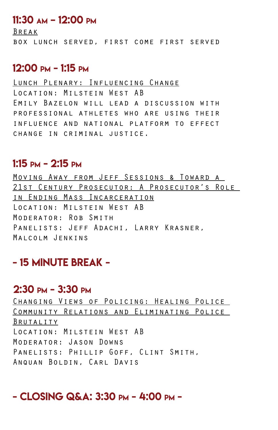## 11:30 am – 12:00 pm

Break box lunch served, first come first served

## 12:00 pm - 1:15 pm

### Lunch Plenary: Influencing Change Location: Milstein West AB Emily Bazelon will lead a discussion with professional athletes who are using their influence and national platform to effect change in criminal justice.

## 1:15 pm - 2:15 pm

Moving Away from Jeff Sessions & Toward a 21st Century Prosecutor: A Prosecutor's Role in Ending Mass Incarceration Location: Milstein West AB Moderator: Rob Smith PANELISTS: JEFF ADACHI, LARRY KRASNER, Malcolm Jenkins

## - 15 minute break -

## 2:30 pm - 3:30 pm

Changing Views of Policing: Healing Police Community Relations and Eliminating Police Brutality Location: Milstein West AB Moderator: Jason Downs Panelists: Phillip Goff, Clint Smith, Anquan Boldin, Carl Davis

## - Closing Q&A: 3:30 pm - 4:00 pm -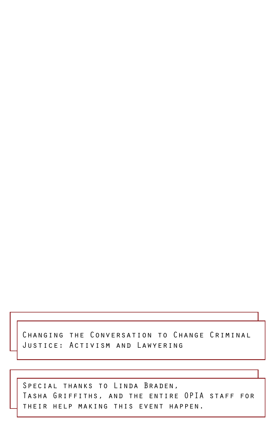Changing the Conversation to Change Criminal Justice: Activism and Lawyering

SPECIAL THANKS TO LINDA BRADEN, Tasha Griffiths, and the entire OPIA staff for their help making this event happen.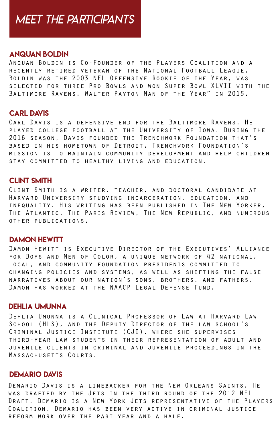# *meet the participants*

#### Anquan Boldin

Anquan Boldin is Co-Founder of the Players Coalition and a recently retired veteran of the National Football League. Boldin was the 2003 NFL Offensive Rookie of the Year, was selected for three Pro Bowls and won Super Bowl XLVII with the Baltimore Ravens. Walter Payton Man of the Year" in 2015.

#### **CARL DAVIS**

Carl Davis is a defensive end for the Baltimore Ravens. He played college football at the University of Iowa. During the 2016 season, Davis founded the Trenchwork Foundation that's based in his hometown of Detroit. Trenchwork Foundation's mission is to maintain community development and help children stay committed to healthy living and education.

#### **CLINT SMITH**

Clint Smith is a writer, teacher, and doctoral candidate at Harvard University studying incarceration, education, and inequality. His writing has been published in The New Yorker, The Atlantic, The Paris Review, The New Republic, and numerous other publications.

#### Damon Hewitt

Damon Hewitt is Executive Director of the Executives' Alliance for Boys and Men of Color, a unique network of 42 national, local, and community foundation presidents committed to changing policies and systems, as well as shifting the false narratives about our nation's sons, brothers, and fathers. Damon has worked at the NAACP Legal Defense Fund.

#### Dehlia umunna

Dehlia Umunna is a Clinical Professor of Law at Harvard Law School (HLS), and the Deputy Director of the law school's Criminal Justice Institute (CJI), where she supervises third-year law students in their representation of adult and juvenile clients in criminal and juvenile proceedings in the Massachusetts Courts.

#### Demario Davis

Demario Davis is a linebacker for the New Orleans Saints. He was drafted by the Jets in the third round of the 2012 NFL Draft. Demario is a New York Jets representative of the Players Coalition. Demario has been very active in criminal justice reform work over the past year and a half.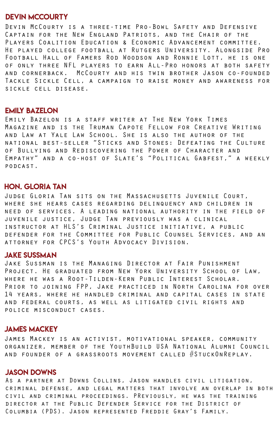#### devin mccourty

Devin McCourty is a three-time Pro-Bowl Safety and Defensive Captain for the New England Patriots, and the Chair of the Players Coalition Education & Economic Advancement committee. He played college football at Rutgers University. Alongside Pro Football Hall of Famers Rod Woodson and Ronnie Lott, he is one of only three NFL players to earn All-Pro honors at both safety and cornerback. McCourty and his twin brother Jason co-founded Tackle Sickle Cell, a campaign to raise money and awareness for sickle cell disease.

#### Emily bazelon

Emily Bazelon is a staff writer at The New York Times Magazine and is the Truman Capote Fellow for Creative Writing and Law at Yale Law School. She is also the author of the national best-seller "Sticks and Stones: Defeating the Culture of Bullying and Rediscovering the Power of Character and Empathy" and a co-host of Slate's "Political Gabfest," a weekly podcast.

#### Hon. GLORIA TAN

Judge Gloria Tan sits on the Massachusetts Juvenile Court, where she hears cases regarding delinquency and children in need of services. A leading national authority in the field of juvenile justice, Judge Tan previously was a clinical instructor at HLS's Criminal Justice initiative, a public defender for the Committee for Public Counsel Services, and an attorney for CPCS's Youth Advocacy Division.

#### Jake Sussman

Jake Sussman is the Managing Director at Fair Punishment Project. He graduated from New York University School of Law, where he was a Root-Tilden-Kern Public Interest Scholar. Prior to joining FPP, Jake practiced in North Carolina for over 14 years, where he handled criminal and capital cases in state and federal courts, as well as litigated civil rights and police misconduct cases.

#### James Mackey

James Mackey is an activist, motivational speaker, community organizer, member of the YouthBuild USA National Alumni Council and founder of a grassroots movement called #StuckOnReplay.

#### Jason Downs

As a partner at Downs Collins, Jason handles civil litigation, criminal defense, and legal matters that involve an overlap in both civil and criminal proceedings. PReviously, he was the training director at the Public Defender Service for the District of Columbia (PDS). Jason represented Freddie Gray's Family.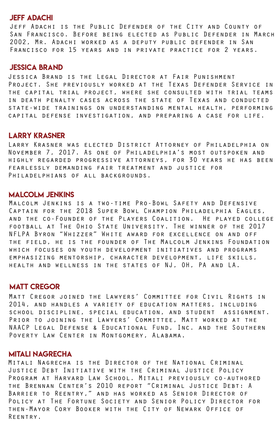#### Jeff adachi

Jeff Adachi is the Public Defender of the City and County of San Francisco. Before being elected as Public Defender in March 2002, Mr. Adachi worked as a deputy public defender in San Francisco for 15 years and in private practice for 2 years.

#### jessica brand

Jessica Brand is the Legal Director at Fair Punishment Project. She previously worked at the Texas Defender Service in the capital trial project, where she consulted with trial teams in death penalty cases across the state of Texas and conducted state-wide trainings on understanding mental health, performing capital defense investigation, and preparing a case for life.

#### Larry krasner

Larry Krasner was elected District Attorney of Philadelphia on November 7, 2017. As one of Philadelphia's most outspoken and highly regarded progressive attorneys, for 30 years he has been fearlessly demanding fair treatment and justice for Philadelphians of all backgrounds.

#### malcoLm jenkins

Malcolm Jenkins is a two-time Pro-Bowl Safety and Defensive Captain for the 2018 Super Bowl Champion Philadelphia Eagles, and the co-Founder of the Players Coalition. He played college football at The Ohio State University. The winner of the 2017 NFLPA Byron "Whizzer" White award for excellence on and off the field, he is the founder of The Malcolm Jenkins Foundation which focuses on youth development initiatives and programs emphasizing mentorship, character development, life skills, health and wellness in the states of NJ, OH, PA and LA.

#### matt cregor

Matt Cregor joined the Lawyers' Committee for Civil Rights in 2014, and handles a variety of education matters, including school discipline, special education, and student assignment. Prior to joining the Lawyers' Committee, Matt worked at the NAACP Legal Defense & Educational Fund, Inc. and the Southern Poverty Law Center in Montgomery, Alabama.

#### Mitali Nagrecha

Mitali Nagrecha is the Director of the National Criminal Justice Debt Initiative with the Criminal Justice Policy Program at Harvard Law School. Mitali previously co-authored the Brennan Center's 2010 report "Criminal Justice Debt: A Barrier to Reentry," and has worked as Senior Director of Policy at The Fortune Society and Senior Policy Director for then-Mayor Cory Booker with the City of Newark Office of Reentry.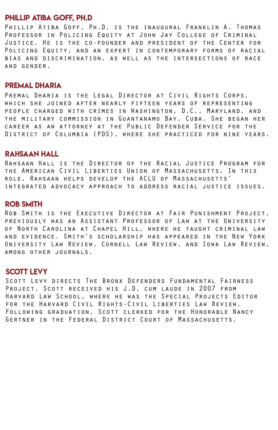#### philLip atiba goff, Ph.D

Phillip Atiba Goff, Ph.D. is the inaugural Franklin A. Thomas Professor in Policing Equity at John Jay College of Criminal Justice. He is the co-founder and president of the Center for Policing Equity, and an expert in contemporary forms of racial bias and discrimination, as well as the intersections of race and gender.

#### premal dharia

Premal Dharia is the Legal Director at Civil Rights Corps, which she joined after nearly fifteen years of representing people charged with crimes in Washington, D.C., Maryland, and the military commission in Guantanamo Bay, Cuba. She began her career as an attorney at the Public Defender Service for the District of Columbia (PDS), where she practiced for nine years.

#### rahsaan hall

Rahsaan Hall is the Director of the Racial Justice Program for the American Civil Liberties Union of Massachusetts. In this role, Rahsaan helps develop the ACLU of Massachusetts' integrated advocacy approach to address racial justice issues.

#### ROB SMITH

Rob Smith is the Executive Director at Fair Punishment Project, previously was an Assistant Professor of Law at the University of North Carolina at Chapel Hill, where he taught criminal law and evidence. Smith's scholarship has appeared in the New York University Law Review, Cornell Law Review, and Iowa Law Review, among other journals.

#### **SCOTT LEVY**

Scott Levy directs The Bronx Defenders Fundamental Fairness Project. Scott received his J.D. cum laude in 2007 from Harvard Law School, where he was the Special Projects Editor for the Harvard Civil Rights-Civil Liberties Law Review. Following graduation, Scott clerked for the Honorable Nancy Gertner in the Federal District Court of Massachusetts.